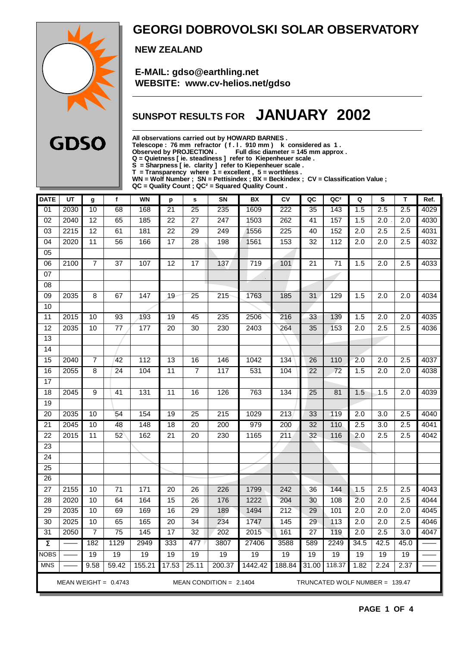

### **GEORGI DOBROVOLSKI SOLAR OBSERVATORY**

 **NEW ZEALAND**

 **E-MAIL: gdso@earthling.net WEBSITE: www.cv-helios.net/gdso**

## **SUNSPOT RESULTS FOR JANUARY 2002**

**All observations carried out by HOWARD BARNES .**

**Telescope : 76 mm refractor ( f . l . 910 mm ) k considered as 1 .**

**Observed by PROJECTION . Full disc diameter = 145 mm approx .**

**Q = Quietness [ ie. steadiness ] refer to Kiepenheuer scale .**

**S = Sharpness [ ie. clarity ] refer to Kiepenheuer scale .**

**T = Transparency where 1 = excellent , 5 = worthless .**

**WN = Wolf Number ; SN = Pettisindex ; BX = Beckindex ; CV = Classification Value ;**

**QC = Quality Count ; QC² = Squared Quality Count .**

| <b>DATE</b>     | UT                                                                                    | g                | $\mathbf f$     | <b>WN</b>       | p               | s               | SN               | BX               | CV               | QC              | QC <sup>2</sup>  | Q                | S                | T                | Ref. |
|-----------------|---------------------------------------------------------------------------------------|------------------|-----------------|-----------------|-----------------|-----------------|------------------|------------------|------------------|-----------------|------------------|------------------|------------------|------------------|------|
| 01              | 2030                                                                                  | 10               | 68              | 168             | 21              | $\overline{25}$ | 235              | 1609             | $\overline{222}$ | 35              | 143              | 1.5              | 2.5              | 2.5              | 4029 |
| $\overline{02}$ | 2040                                                                                  | $\overline{12}$  | 65              | 185             | $\overline{22}$ | $\overline{27}$ | $\overline{247}$ | 1503             | 262              | 41              | 157              | 1.5              | $\overline{2.0}$ | $\overline{2.0}$ | 4030 |
| 03              | 2215                                                                                  | $\overline{12}$  | 61              | 181             | $\overline{22}$ | $\overline{29}$ | 249              | 1556             | 225              | 40              | 152              | $\overline{2.0}$ | 2.5              | 2.5              | 4031 |
| 04              | 2020                                                                                  | 11               | 56              | 166             | $\overline{17}$ | $\overline{28}$ | 198              | 1561             | 153              | 32              | 112              | $\overline{2.0}$ | 2.0              | 2.5              | 4032 |
| $\overline{05}$ |                                                                                       |                  |                 |                 |                 |                 |                  |                  |                  |                 |                  |                  |                  |                  |      |
| $\overline{06}$ | 2100                                                                                  | 7                | $\overline{37}$ | 107             | 12              | 17              | $\overline{137}$ | $\overline{719}$ | 101              | 21              | 71               | 1.5              | $\overline{2.0}$ | 2.5              | 4033 |
| 07              |                                                                                       |                  |                 |                 |                 |                 |                  |                  |                  |                 |                  |                  |                  |                  |      |
| 08              |                                                                                       |                  |                 |                 |                 |                 |                  |                  |                  |                 |                  |                  |                  |                  |      |
| 09              | 2035                                                                                  | 8                | 67              | 147             | 19              | 25              | 215              | 1763             | 185              | 31              | 129              | 1.5              | 2.0              | 2.0              | 4034 |
| 10              |                                                                                       |                  |                 |                 |                 |                 |                  |                  |                  |                 |                  |                  |                  |                  |      |
| $\overline{11}$ | 2015                                                                                  | 10               | 93              | 193             | 19              | 45              | 235              | 2506             | 216              | 33              | 139              | 1.5              | 2.0              | 2.0              | 4035 |
| 12              | 2035                                                                                  | 10               | $77 \,$         | 177             | 20              | 30              | 230              | 2403             | 264              | 35              | 153              | 2.0              | 2.5              | 2.5              | 4036 |
| 13              |                                                                                       |                  |                 |                 |                 |                 |                  |                  |                  |                 |                  |                  |                  |                  |      |
| $\overline{14}$ |                                                                                       |                  |                 |                 |                 |                 |                  |                  |                  |                 |                  |                  |                  |                  |      |
| 15              | 2040                                                                                  | $\overline{7}$   | 42              | 112             | $\overline{13}$ | 16              | 146              | 1042             | 134              | 26              | 110              | 2.0              | 2.0              | 2.5              | 4037 |
| 16              | 2055                                                                                  | $\overline{8}$   | $\overline{24}$ | 104             | $\overline{11}$ | $\overline{7}$  | $\frac{1}{117}$  | 531              | 104              | 22              | $\overline{72}$  | 1.5              | $\overline{2.0}$ | 2.0              | 4038 |
| $\overline{17}$ |                                                                                       |                  |                 |                 |                 |                 |                  |                  |                  |                 |                  |                  |                  |                  |      |
| 18              | 2045                                                                                  | $\boldsymbol{9}$ | 41              | 131             | 11              | 16              | 126              | 763              | 134              | 25              | 81               | 1.5              | 1.5              | 2.0              | 4039 |
| $\overline{19}$ |                                                                                       |                  |                 |                 |                 |                 |                  |                  |                  |                 |                  |                  |                  |                  |      |
| $\overline{20}$ | 2035                                                                                  | 10               | 54              | 154             | $\overline{19}$ | $\overline{25}$ | $\overline{215}$ | 1029             | $\overline{213}$ | 33              | 119              | $\overline{2.0}$ | 3.0              | 2.5              | 4040 |
| 21              | 2045                                                                                  | 10               | 48              | 148             | 18              | 20              | 200              | 979              | 200              | 32              | 110              | 2.5              | 3.0              | 2.5              | 4041 |
| 22              | 2015                                                                                  | 11               | 52              | 162             | 21              | 20              | 230              | 1165             | 211              | 32              | 116              | 2.0              | 2.5              | 2.5              | 4042 |
| $\overline{23}$ |                                                                                       |                  |                 |                 |                 |                 |                  |                  |                  |                 |                  |                  |                  |                  |      |
| $\overline{24}$ |                                                                                       |                  |                 |                 |                 |                 |                  |                  |                  |                 |                  |                  |                  |                  |      |
| $\overline{25}$ |                                                                                       |                  |                 |                 |                 |                 |                  |                  |                  |                 |                  |                  |                  |                  |      |
| $\overline{26}$ |                                                                                       |                  |                 |                 |                 |                 |                  |                  |                  |                 |                  |                  |                  |                  |      |
| $\overline{27}$ | 2155                                                                                  | 10               | 71              | $\frac{1}{171}$ | $\overline{20}$ | $\overline{26}$ | 226              | 1799             | 242              | 36              | 144              | $\overline{1.5}$ | 2.5              | $\overline{2.5}$ | 4043 |
| $\overline{28}$ | 2020                                                                                  | $\overline{10}$  | 64              | 164             | $\overline{15}$ | $\overline{26}$ | 176              | 1222             | 204              | 30              | 108              | 2.0              | $\overline{2.0}$ | 2.5              | 4044 |
| 29              | 2035                                                                                  | 10               | 69              | 169             | 16              | 29              | 189              | 1494             | 212              | 29              | 101              | 2.0              | 2.0              | 2.0              | 4045 |
| $\overline{30}$ | 2025                                                                                  | 10               | 65              | 165             | $\overline{20}$ | $\overline{34}$ | 234              | 1747             | 145              | 29              | $\overline{113}$ | $\overline{2.0}$ | $\overline{2.0}$ | 2.5              | 4046 |
| 31              | 2050                                                                                  | 7                | $\overline{75}$ | 145             | 17              | $\overline{32}$ | 202              | 2015             | 161              | $\overline{27}$ | 119              | $\overline{2.0}$ | 2.5              | 3.0              | 4047 |
| $\pmb{\Sigma}$  |                                                                                       | 182              | 1129            | 2949            | 333             | 477             | 3807             | 27406            | 3588             | 589             | 2249             | 34.5             | 42.5             | 45.0             |      |
| <b>NOBS</b>     |                                                                                       | 19               | 19              | 19              | 19              | 19              | 19               | 19               | 19               | 19              | 19               | 19               | 19               | 19               |      |
| <b>MNS</b>      |                                                                                       | 9.58             | 59.42           | 155.21          | 17.53           | 25.11           | 200.37           | 1442.42          | 188.84           | 31.00           | 118.37           | 1.82             | 2.24             | 2.37             |      |
|                 | MEAN WEIGHT = $0.4743$<br>MEAN CONDITION = $2.1404$<br>TRUNCATED WOLF NUMBER = 139.47 |                  |                 |                 |                 |                 |                  |                  |                  |                 |                  |                  |                  |                  |      |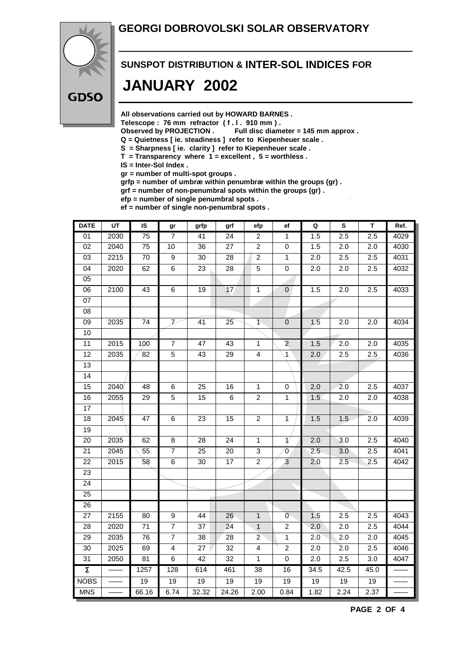#### **GEORGI DOBROVOLSKI SOLAR OBSERVATORY**



# **SUNSPOT DISTRIBUTION & INTER-SOL INDICES FOR JANUARY 2002**

**All observations carried out by HOWARD BARNES .**

Telescope : 76 mm refractor (f. l. 910 mm).<br>Observed by PROJECTION . Full disc diam

Full disc diameter = 145 mm approx .

- **Q = Quietness [ ie. steadiness ] refer to Kiepenheuer scale .**
- **S = Sharpness [ ie. clarity ] refer to Kiepenheuer scale .**
- **T = Transparency where 1 = excellent , 5 = worthless .**

**IS = Inter-Sol Index .**

**gr = number of multi-spot groups .**

**grfp = number of umbræ within penumbræ within the groups (gr) .**

**grf = number of non-penumbral spots within the groups (gr) .**

**efp = number of single penumbral spots .**

**ef = number of single non-penumbral spots .**

| <b>DATE</b>         | $\overline{UT}$ | IS              | gr             | grfp            | grf             | efp                     | ef               | $\mathbf Q$ | $\overline{\mathbf{s}}$ | T                | Ref. |
|---------------------|-----------------|-----------------|----------------|-----------------|-----------------|-------------------------|------------------|-------------|-------------------------|------------------|------|
| 01                  | 2030            | 75              | $\overline{7}$ | 41              | $\overline{24}$ | $\overline{2}$          | $\overline{1}$   | 1.5         | 2.5                     | 2.5              | 4029 |
| 02                  | 2040            | $\overline{75}$ | 10             | $\overline{36}$ | $\overline{27}$ | $\overline{2}$          | $\boldsymbol{0}$ | 1.5         | $\overline{2.0}$        | $\overline{2.0}$ | 4030 |
| 03                  | 2215            | $70\,$          | 9              | 30              | 28              | $\overline{\mathbf{c}}$ | $\mathbf{1}$     | 2.0         | 2.5                     | 2.5              | 4031 |
| $\overline{04}$     | 2020            | 62              | $\overline{6}$ | $\overline{23}$ | $\overline{28}$ | $\overline{5}$          | $\pmb{0}$        | 2.0         | 2.0                     | 2.5              | 4032 |
| $\overline{05}$     |                 |                 |                |                 |                 |                         |                  |             |                         |                  |      |
| $\overline{06}$     | 2100            | 43              | $\overline{6}$ | $\overline{19}$ | $\overline{17}$ | $\overline{1}$          | $\mathbf{0}$     | 1.5         | $\overline{2.0}$        | 2.5              | 4033 |
| $07\,$              |                 |                 |                |                 |                 |                         |                  |             |                         |                  |      |
| 08                  |                 |                 |                |                 |                 |                         |                  |             |                         |                  |      |
| $\overline{09}$     | 2035            | 74              | $\overline{V}$ | $\overline{41}$ | 25              | $\overline{1}$          | $\overline{0}$   | 1.5         | 2.0                     | 2.0              | 4034 |
| 10                  |                 |                 |                |                 |                 |                         |                  |             |                         |                  |      |
| 11                  | 2015            | 100             | $\overline{7}$ | $\overline{47}$ | 43              | $\overline{1}$          | $\overline{2}$   | 1.5         | $\overline{2.0}$        | $\overline{2.0}$ | 4035 |
| $\overline{12}$     | 2035            | $\overline{82}$ | $\overline{5}$ | $\overline{43}$ | $\overline{29}$ | $\overline{4}$          | $\overline{1}$   | 2.0         | 2.5                     | 2.5              | 4036 |
| 13                  |                 |                 |                |                 |                 |                         |                  |             |                         |                  |      |
| 14                  |                 |                 |                |                 |                 |                         |                  |             |                         |                  |      |
| $\overline{15}$     | 2040            | $\overline{48}$ | $\overline{6}$ | $\overline{25}$ | 16              | $\overline{1}$          | $\pmb{0}$        | 2.0         | 2.0                     | 2.5              | 4037 |
| 16                  | 2055            | 29              | $\overline{5}$ | 15              | 6               | $\overline{c}$          | $\mathbf{1}$     | 1.5         | 2.0                     | 2.0              | 4038 |
| 17                  |                 |                 |                |                 |                 |                         |                  |             |                         |                  |      |
| $\overline{18}$     | 2045            | 47              | 6              | 23              | 15              | $\overline{2}$          | $\mathbf{1}$     | 1.5         | 1.5                     | 2.0              | 4039 |
| $\overline{19}$     |                 |                 |                |                 |                 |                         |                  |             |                         |                  |      |
| 20                  | 2035            | 62              | $\overline{8}$ | 28              | 24              | $\mathbf{1}$            | $\mathcal{V}$    | 2.0         | 3.0                     | 2.5              | 4040 |
| 21                  | 2045            | 55              | $\overline{7}$ | 25              | 20              | 3                       | 0                | 2.5         | 3.0                     | 2.5              | 4041 |
| 22                  | 2015            | 58              | 6              | 30              | 17              | $\boldsymbol{2}$        | 3                | 2.0         | 2.5                     | 2.5              | 4042 |
| 23                  |                 |                 |                |                 |                 |                         |                  |             |                         |                  |      |
| 24                  |                 |                 |                |                 |                 |                         |                  |             |                         |                  |      |
| 25                  |                 |                 |                |                 |                 |                         |                  |             |                         |                  |      |
| 26                  |                 |                 |                |                 |                 |                         |                  |             |                         |                  |      |
| $\overline{27}$     | 2155            | 80              | $\overline{9}$ | 44              | 26              | $\overline{1}$          | $\overline{0}$   | 1.5         | $\overline{2.5}$        | $\overline{2.5}$ | 4043 |
| 28                  | 2020            | 71              | $\overline{7}$ | 37              | $\overline{24}$ | $\overline{1}$          | $\overline{c}$   | 2.0         | 2.0                     | 2.5              | 4044 |
| 29                  | 2035            | 76              | $\overline{7}$ | 38              | 28              | $\overline{2}$          | $\mathbf{1}$     | 2.0         | 2.0                     | 2.0              | 4045 |
| $\overline{30}$     | 2025            | 69              | $\overline{4}$ | $\overline{27}$ | $\overline{32}$ | $\overline{4}$          | $\overline{2}$   | 2.0         | $\overline{2.0}$        | 2.5              | 4046 |
| 31                  | 2050            | 81              | 6              | 42              | 32              | $\mathbf{1}$            | $\pmb{0}$        | 2.0         | 2.5                     | 3.0              | 4047 |
| $\overline{\Sigma}$ |                 | 1257            | 128            | 614             | 461             | $\overline{38}$         | 16               | 34.5        | 42.5                    | 45.0             |      |
| <b>NOBS</b>         |                 | $\overline{19}$ | 19             | 19              | $\overline{19}$ | 19                      | 19               | 19          | 19                      | 19               |      |
| <b>MNS</b>          |                 | 66.16           | 6.74           | 32.32           | 24.26           | 2.00                    | 0.84             | 1.82        | 2.24                    | 2.37             |      |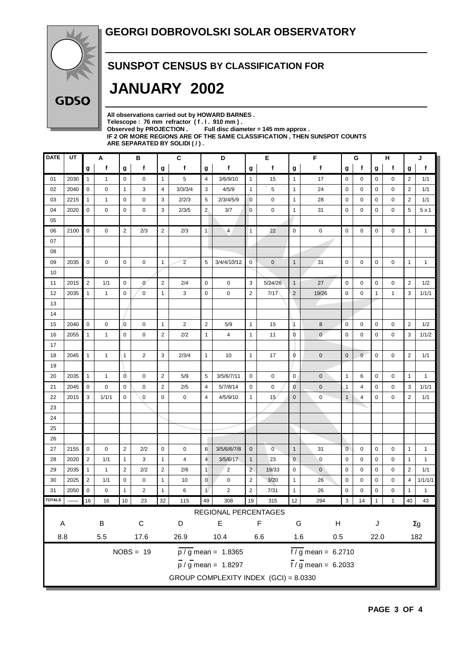

#### **SUNSPOT CENSUS BY CLASSIFICATION FOR**

# **JANUARY 2002**

**All observations carried out by HOWARD BARNES .** Telescope : 76 mm refractor (f. l. 910 mm).<br>Observed by PROJECTION . Full disc diam Full disc diameter = 145 mm approx . **IF 2 OR MORE REGIONS ARE OF THE SAME CLASSIFICATION , THEN SUNSPOT COUNTS ARE SEPARATED BY SOLIDI ( / ) .**

| <b>DATE</b>                | UT                                                                           |                | Α                      |                 | в              |                  | C              |                | D                                     |                | Е              |                | F                               |                | G<br>н      |             |              | J              |              |
|----------------------------|------------------------------------------------------------------------------|----------------|------------------------|-----------------|----------------|------------------|----------------|----------------|---------------------------------------|----------------|----------------|----------------|---------------------------------|----------------|-------------|-------------|--------------|----------------|--------------|
|                            |                                                                              | g              | f                      | g               | f              | g                | f              | g              | f                                     | g              | f              | g              | f                               | g              | f           | g           | f            | g              | f            |
| 01                         | 2030                                                                         | $\mathbf{1}$   | 1                      | $\mathbf 0$     | 0              | $\mathbf{1}$     | 5              | 4              | 3/6/9/10                              | $\mathbf{1}$   | 15             | $\mathbf{1}$   | 17                              | 0              | 0           | 0           | 0            | 2              | 1/1          |
| 02                         | 2040                                                                         | 0              | 0                      | $\mathbf{1}$    | 3              | $\overline{4}$   | 3/3/3/4        | 3              | 4/5/9                                 | $\mathbf{1}$   | 5              | $\mathbf{1}$   | 24                              | $\mathbf 0$    | 0           | 0           | 0            | 2              | 1/1          |
| 03                         | 2215                                                                         | $\mathbf{1}$   | 1                      | 0               | 0              | 3                | 2/2/3          | 5              | 2/3/4/5/9                             | $\mathbf 0$    | 0              | 1              | 28                              | 0              | 0           | 0           | 0            | $\overline{2}$ | 1/1          |
| 04                         | 2020                                                                         | $\mathbf 0$    | 0                      | 0               | 0              | 3                | 2/3/5          | 2 <sub>1</sub> | 3/7                                   | $\mathbf 0$    | 0              | 1              | 31                              | 0              | 0           | 0           | 0            | 5              | 5x1          |
| 05                         |                                                                              |                |                        |                 |                |                  |                |                |                                       |                |                |                |                                 |                |             |             |              |                |              |
| 06                         | 2100                                                                         | $\mathbf 0$    | 0                      | $\overline{2}$  | 2/3            | $\overline{2}$   | 2/3            | $\vert$ 1      | 4                                     | $\overline{1}$ | 22             | $\mathbf 0$    | $\mathbf 0$                     | $\mathbf 0$    | 0           | 0           | 0            | $\mathbf{1}$   | $\mathbf{1}$ |
| 07                         |                                                                              |                |                        |                 |                |                  |                |                |                                       |                |                |                |                                 |                |             |             |              |                |              |
| 08                         |                                                                              |                |                        |                 |                |                  |                |                |                                       |                |                |                |                                 |                |             |             |              |                |              |
| 09                         | 2035                                                                         | $\mathbf 0$    | 0                      | 0               | 0              | $\mathbf{1}$     | $\overline{2}$ | 5              | 3/4/4/10/12                           | $\mathbf{0}$   | $\mathbf 0$    | $\mathbf{1}$   | 31                              | $\mathbf 0$    | 0           | 0           | 0            | $\mathbf{1}$   | $\mathbf{1}$ |
| 10                         |                                                                              |                |                        |                 |                |                  |                |                |                                       |                |                |                |                                 |                |             |             |              |                |              |
| 11                         | 2015                                                                         | $\overline{2}$ | 1/1                    | $\mathbf 0$     | $\mathbf{0}$   | $\sqrt{2}$       | 2/4            | $\mathbf 0$    | 0                                     | 3              | 5/24/26        | $\mathbf{1}$   | 27                              | $\mathbf 0$    | 0           | 0           | 0            | $\overline{2}$ | 1/2          |
| 12                         | 2035                                                                         | $\mathbf{1}$   | $\mathbf{1}$           | 0               | 0              | $\mathbf{1}$     | 3              | $\mathbf 0$    | 0                                     | $\overline{2}$ | 7/17           | $\overline{2}$ | 19/26                           | $\mathbf 0$    | 0           | 1           | 1            | 3              | 1/1/1        |
| 13                         |                                                                              |                |                        |                 |                |                  |                |                |                                       |                |                |                |                                 |                |             |             |              |                |              |
| 14                         |                                                                              |                |                        |                 |                |                  |                |                |                                       |                |                |                |                                 |                |             |             |              |                |              |
| 15                         | 2040                                                                         | $\mathbf 0$    | 0                      | $\mathbf 0$     | $\mathbf 0$    | $\mathbf{1}$     | $\overline{2}$ | $\overline{2}$ | 5/9                                   | $\mathbf{1}$   | 15             | $\vert$ 1      | 8                               | $\mathbf 0$    | 0           | 0           | 0            | $\overline{2}$ | 1/2          |
| 16                         | 2055                                                                         | $\mathbf{1}$   | $\mathbf{1}$           | $\mathbf 0$     | 0              | $\overline{2}$   | 2/2            | $\mathbf{1}$   | 4                                     | $\mathbf{1}$   | 11             | 0              | $\mathbf{0}$                    | $\mathbf 0$    | 0           | 0           | 0            | 3              | 1/1/2        |
| 17                         |                                                                              |                |                        |                 |                |                  |                |                |                                       |                |                |                |                                 |                |             |             |              |                |              |
| 18                         | 2045                                                                         | $\mathbf{1}$   | $\mathbf{1}$           | $\mathbf{1}$    | $\overline{2}$ | 3                | 2/3/4          | $\mathbf{1}$   | 10                                    | $\mathbf{1}$   | 17             | 0              | $\mathbf 0$                     | $\mathbf 0$    | $\mathbf 0$ | $\mathbf 0$ | 0            | $\overline{2}$ | 1/1          |
| 19                         |                                                                              |                |                        |                 |                |                  |                |                |                                       |                |                |                |                                 |                |             |             |              |                |              |
| 20                         | 2035                                                                         | $\mathbf{1}$   | $\mathbf{1}$           | $\overline{0}$  | 0              | $\overline{2}$   | 5/9            | 5              | 3/5/6/7/11                            | $\mathbf 0$    | $\mathbf 0$    | $\mathbf 0$    | $\mathbf 0$                     | $\mathbf{1}$   | 6           | $\mathbf 0$ | 0            | $\mathbf{1}$   | $\mathbf{1}$ |
| 21                         | 2045                                                                         | $\mathbf 0$    | 0                      | $\mathbf 0$     | 0              | $\overline{2}$   | 2/5            | $\overline{4}$ | 5/7/8/14                              | 0              | $\pmb{0}$      | $\mathbf 0$    | $\mathbf 0$                     | $\cdot$ 1      | 4           | 0           | 0            | 3              | 1/1/1        |
| 22                         | 2015                                                                         | 3              | 1/1/1                  | $\mathbf 0$     | $\mathbf 0$    | $\mathbf 0$      | 0              | 4              | 4/5/9/10                              | 1              | 15             | $\mathbf 0$    | $\mathbf 0$                     | $\mathbf{1}$   | 4           | 0           | 0            | $\overline{2}$ | 1/1          |
| 23                         |                                                                              |                |                        |                 |                |                  |                |                |                                       |                |                |                |                                 |                |             |             |              |                |              |
| 24                         |                                                                              |                |                        |                 |                |                  |                |                |                                       |                |                |                |                                 |                |             |             |              |                |              |
| 25                         |                                                                              |                |                        |                 |                |                  |                |                |                                       |                |                |                |                                 |                |             |             |              |                |              |
| 26                         |                                                                              |                |                        |                 |                |                  |                |                |                                       |                |                |                |                                 |                |             |             |              |                |              |
| 27                         | 2155                                                                         | $\mathbf 0$    | 0                      | 2               | 2/2            | $\mathbf 0$      | 0              | 6              | 3/5/6/6/7/8                           | $\mathbf 0$    | $\overline{0}$ | $\mathbf{1}$   | 31                              | $\mathbf 0$    | 0           | 0           | 0            | $\mathbf{1}$   | $\mathbf{1}$ |
| 28                         | 2020                                                                         | $\overline{2}$ | 1/1                    | $\mathbf{1}$    | 3              | $\mathbf{1}$     | 4              | $\overline{4}$ | 3/5/6/17                              | $\mathbf{1}$   | 23             | $\mathbf 0$    | $\mathbf 0$                     | $\mathbf 0$    | 0           | 0           | 0            | $\mathbf{1}$   | $\mathbf{1}$ |
| 29                         | 2035                                                                         | $\mathbf{1}$   | $\mathbf{1}$           | $\overline{2}$  | 2/2            | $\overline{2}$   | 2/6            | $\overline{1}$ | $\overline{2}$                        | $\overline{2}$ | 19/33          | $\pmb{0}$      | $\mathbf 0$                     | $\mathbf 0$    | 0           | 0           | 0            | 2              | 1/1          |
| 30                         | 2025                                                                         | $\overline{2}$ | 1/1                    | 0               | $\mathbf 0$    | $\mathbf{1}$     | 10             | $\mathbf 0$    | $\mathbf 0$                           | $\overline{2}$ | 3/20           | 1              | 26                              | $\mathbf 0$    | 0           | 0           | $\mathbf 0$  | $\overline{4}$ | 1/1/1/1      |
| 31                         | 2050                                                                         | $\mathbf 0$    | 0                      | 1               | $\overline{2}$ | $\mathbf{1}$     | 6              | $\mathbf{1}$   | $\overline{2}$                        | $\mathbf 2$    | 7/31           | 1              | 26                              | $\mathbf 0$    | 0           | 0           | 0            | $\mathbf{1}$   | $\mathbf{1}$ |
| <b>TOTALS</b>              |                                                                              | 16             | 16                     | 10 <sub>1</sub> | 23             | 32               | 115            | 49             | 308                                   | 19             | 315            | 12             | 294                             | 3 <sup>1</sup> | $14$ 1      |             | $\mathbf{1}$ |                | 40 43        |
|                            |                                                                              |                |                        |                 |                |                  |                |                | REGIONAL PERCENTAGES                  |                |                |                |                                 |                |             |             |              |                |              |
| A                          |                                                                              |                | $\sf B$<br>$\mathsf C$ |                 |                | $\mathsf E$<br>D |                |                | F                                     |                | G<br>H         |                | J                               |                | $\Sigma g$  |             |              |                |              |
| $8.8\,$<br>17.6<br>$5.5\,$ |                                                                              |                |                        | 26.9            | 10.4<br>6.6    |                  |                |                | $1.6\,$<br>0.5                        |                |                |                | 22.0                            |                |             | 182         |              |                |              |
|                            |                                                                              |                |                        |                 |                |                  |                |                |                                       |                |                |                |                                 |                |             |             |              |                |              |
|                            | $\sqrt{f/g}$ mean = 6.2710<br>$NOBS = 19$<br>$\frac{1}{p}$ / g mean = 1.8365 |                |                        |                 |                |                  |                |                |                                       |                |                |                |                                 |                |             |             |              |                |              |
|                            |                                                                              |                |                        |                 |                |                  |                |                | $\frac{1}{p}$ / g mean = 1.8297       |                |                |                | $\frac{1}{1}$ / g mean = 6.2033 |                |             |             |              |                |              |
|                            |                                                                              |                |                        |                 |                |                  |                |                | GROUP COMPLEXITY INDEX (GCI) = 8.0330 |                |                |                |                                 |                |             |             |              |                |              |